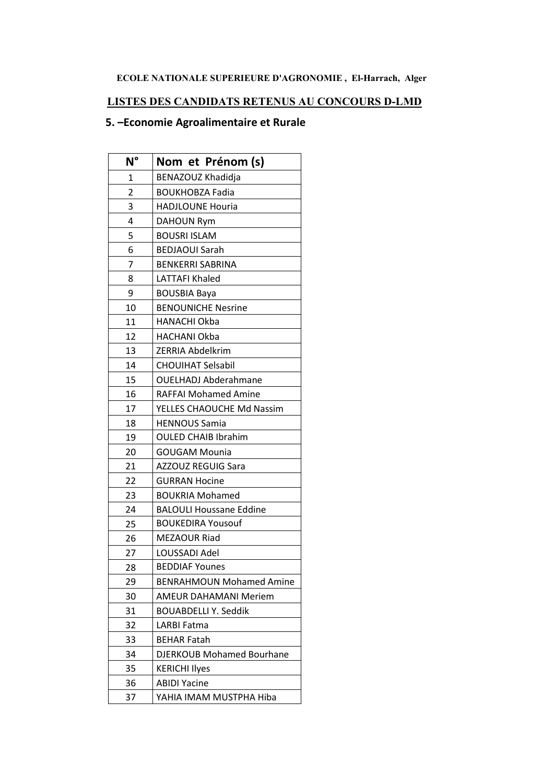## ECOLE NATIONALE SUPERIEURE D'AGRONOMIE, El-Harrach, Alger

## LISTES DES CANDIDATS RETENUS AU CONCOURS D-LMD

## 5. - Economie Agroalimentaire et Rurale

| $N^{\circ}$ | Nom et Prénom (s)                |
|-------------|----------------------------------|
| 1           | BENAZOUZ Khadidja                |
| 2           | <b>BOUKHOBZA Fadia</b>           |
| 3           | <b>HADJLOUNE Houria</b>          |
| 4           | <b>DAHOUN Rym</b>                |
| 5           | <b>BOUSRI ISLAM</b>              |
| 6           | <b>BEDJAOUI Sarah</b>            |
| 7           | <b>BENKERRI SABRINA</b>          |
| 8           | <b>LATTAFI Khaled</b>            |
| 9           | <b>BOUSBIA Baya</b>              |
| 10          | <b>BENOUNICHE Nesrine</b>        |
| 11          | <b>HANACHI Okba</b>              |
| 12          | <b>HACHANI Okba</b>              |
| 13          | <b>ZERRIA Abdelkrim</b>          |
| 14          | <b>CHOUIHAT Selsabil</b>         |
| 15          | <b>OUELHADJ Abderahmane</b>      |
| 16          | <b>RAFFAI Mohamed Amine</b>      |
| 17          | YELLES CHAOUCHE Md Nassim        |
| 18          | <b>HENNOUS Samia</b>             |
| 19          | <b>OULED CHAIB Ibrahim</b>       |
| 20          | <b>GOUGAM Mounia</b>             |
| 21          | <b>AZZOUZ REGUIG Sara</b>        |
| 22          | <b>GURRAN Hocine</b>             |
| 23          | <b>BOUKRIA Mohamed</b>           |
| 24          | <b>BALOULI Houssane Eddine</b>   |
| 25          | <b>BOUKEDIRA Yousouf</b>         |
| 26          | <b>MEZAOUR Riad</b>              |
| 27          | LOUSSADI Adel                    |
| 28          | <b>BEDDIAF Younes</b>            |
| 29          | <b>BENRAHMOUN Mohamed Amine</b>  |
| 30          | <b>AMEUR DAHAMANI Meriem</b>     |
| 31          | <b>BOUABDELLI Y. Seddik</b>      |
| 32          | <b>LARBI Fatma</b>               |
| 33          | <b>BEHAR Fatah</b>               |
| 34          | <b>DJERKOUB Mohamed Bourhane</b> |
| 35          | <b>KERICHI Ilyes</b>             |
| 36          | <b>ABIDI Yacine</b>              |
| 37          | YAHIA IMAM MUSTPHA Hiba          |